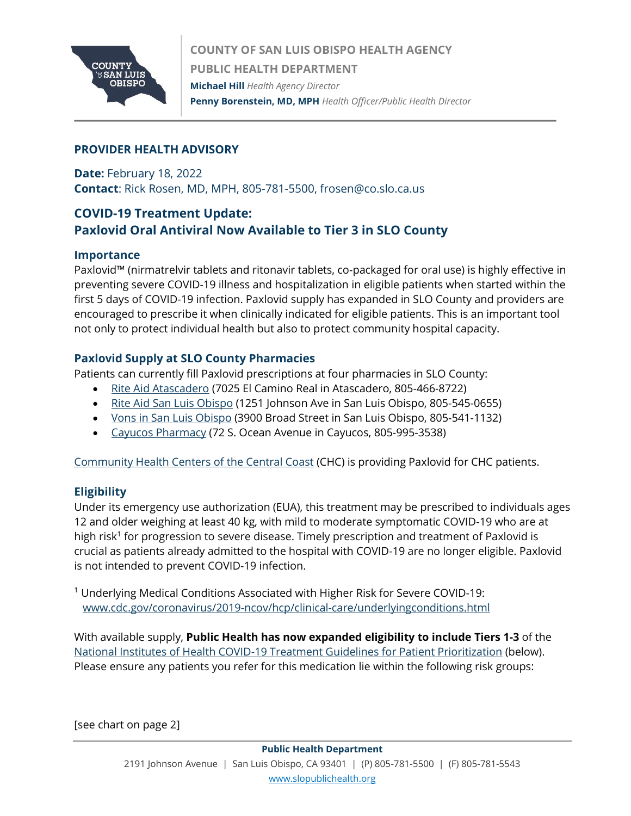

### **PROVIDER HEALTH ADVISORY**

**Date:** February 18, 2022 **Contact**: Rick Rosen, MD, MPH, 805-781-5500, frosen@co.slo.ca.us

# **COVID-19 Treatment Update: Paxlovid Oral Antiviral Now Available to Tier 3 in SLO County**

#### **Importance**

Paxlovid™ (nirmatrelvir tablets and ritonavir tablets, co-packaged for oral use) is highly effective in preventing severe COVID-19 illness and hospitalization in eligible patients when started within the first 5 days of COVID-19 infection. Paxlovid supply has expanded in SLO County and providers are encouraged to prescribe it when clinically indicated for eligible patients. This is an important tool not only to protect individual health but also to protect community hospital capacity.

#### **Paxlovid Supply at SLO County Pharmacies**

Patients can currently fill Paxlovid prescriptions at four pharmacies in SLO County:

- [Rite Aid Atascadero](https://www.riteaid.com/locations/ca/atascadero/7025-el-camino-real.html) (7025 El Camino Real in Atascadero, 805-466-8722)
- [Rite Aid San Luis Obispo](https://www.riteaid.com/locations/ca/san-luis-obispo/1251-johnson-avenue.html) (1251 Johnson Ave in San Luis Obispo, 805-545-0655)
- [Vons in San Luis Obispo](https://local.pharmacy.vons.com/ca/san-luis-obispo/3900-broad-st.html) (3900 Broad Street in San Luis Obispo, 805-541-1132)
- [Cayucos Pharmacy](https://cayucospharmacy.com/) (72 S. Ocean Avenue in Cayucos, 805-995-3538)

[Community Health Centers of the Central Coast](https://www.communityhealthcenters.org/) (CHC) is providing Paxlovid for CHC patients.

#### **Eligibility**

Under its emergency use authorization (EUA), this treatment may be prescribed to individuals ages 12 and older weighing at least 40 kg, with mild to moderate symptomatic COVID-19 who are at high risk<sup>1</sup> for progression to severe disease. Timely prescription and treatment of Paxlovid is crucial as patients already admitted to the hospital with COVID-19 are no longer eligible. Paxlovid is not intended to prevent COVID-19 infection.

<sup>1</sup> Underlying Medical Conditions Associated with Higher Risk for Severe COVID-19: [www.cdc.gov/coronavirus/2019-ncov/hcp/clinical-care/underlyingconditions.html](http://www.cdc.gov/coronavirus/2019-ncov/hcp/clinical-care/underlyingconditions.html)

With available supply, **Public Health has now expanded eligibility to include Tiers 1-3** of the [National Institutes of Health COVID-19 Treatment Guidelines for Patient Prioritization](https://www.covid19treatmentguidelines.nih.gov/therapies/statement-on-patient-prioritization-for-outpatient-therapies/) (below). Please ensure any patients you refer for this medication lie within the following risk groups:

[see chart on page 2]